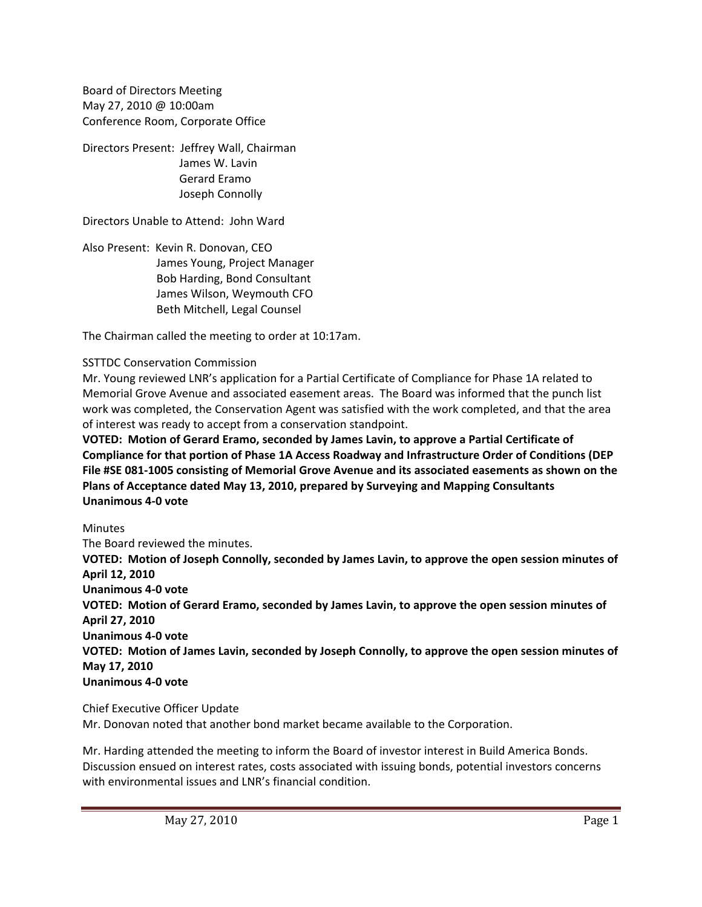Board of Directors Meeting May 27, 2010 @ 10:00am Conference Room, Corporate Office

Directors Present: Jeffrey Wall, Chairman James W. Lavin Gerard Eramo Joseph Connolly

Directors Unable to Attend: John Ward

Also Present: Kevin R. Donovan, CEO James Young, Project Manager Bob Harding, Bond Consultant James Wilson, Weymouth CFO Beth Mitchell, Legal Counsel

The Chairman called the meeting to order at 10:17am.

## SSTTDC Conservation Commission

Mr. Young reviewed LNR's application for a Partial Certificate of Compliance for Phase 1A related to Memorial Grove Avenue and associated easement areas. The Board was informed that the punch list work was completed, the Conservation Agent was satisfied with the work completed, and that the area of interest was ready to accept from a conservation standpoint.

**VOTED: Motion of Gerard Eramo, seconded by James Lavin, to approve a Partial Certificate of Compliance for that portion of Phase 1A Access Roadway and Infrastructure Order of Conditions (DEP File #SE 081‐1005 consisting of Memorial Grove Avenue and its associated easements as shown on the Plans of Acceptance dated May 13, 2010, prepared by Surveying and Mapping Consultants Unanimous 4‐0 vote**

## Minutes

The Board reviewed the minutes. **VOTED: Motion of Joseph Connolly, seconded by James Lavin, to approve the open session minutes of April 12, 2010 Unanimous 4‐0 vote VOTED: Motion of Gerard Eramo, seconded by James Lavin, to approve the open session minutes of April 27, 2010 Unanimous 4‐0 vote VOTED: Motion of James Lavin, seconded by Joseph Connolly, to approve the open session minutes of May 17, 2010 Unanimous 4‐0 vote**

Chief Executive Officer Update Mr. Donovan noted that another bond market became available to the Corporation.

Mr. Harding attended the meeting to inform the Board of investor interest in Build America Bonds. Discussion ensued on interest rates, costs associated with issuing bonds, potential investors concerns with environmental issues and LNR's financial condition.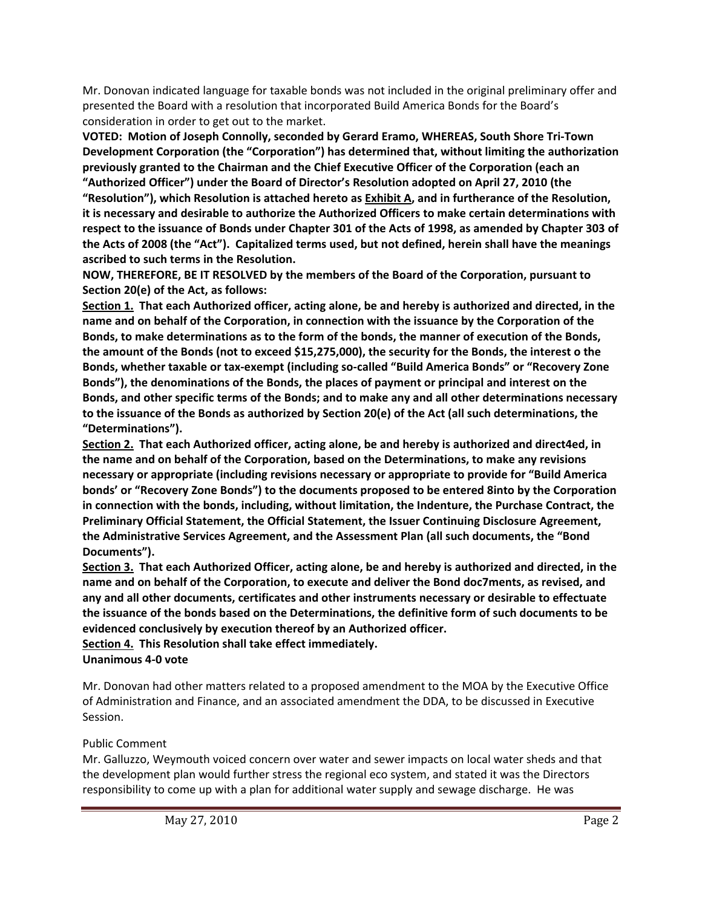Mr. Donovan indicated language for taxable bonds was not included in the original preliminary offer and presented the Board with a resolution that incorporated Build America Bonds for the Board's consideration in order to get out to the market.

**VOTED: Motion of Joseph Connolly, seconded by Gerard Eramo, WHEREAS, South Shore Tri‐Town Development Corporation (the "Corporation") has determined that, without limiting the authorization previously granted to the Chairman and the Chief Executive Officer of the Corporation (each an "Authorized Officer") under the Board of Director's Resolution adopted on April 27, 2010 (the "Resolution"), which Resolution is attached hereto as Exhibit A, and in furtherance of the Resolution, it is necessary and desirable to authorize the Authorized Officers to make certain determinations with** respect to the issuance of Bonds under Chapter 301 of the Acts of 1998, as amended by Chapter 303 of the Acts of 2008 (the "Act"). Capitalized terms used, but not defined, herein shall have the meanings **ascribed to such terms in the Resolution.**

**NOW, THEREFORE, BE IT RESOLVED by the members of the Board of the Corporation, pursuant to Section 20(e) of the Act, as follows:** 

Section 1. That each Authorized officer, acting alone, be and hereby is authorized and directed, in the **name and on behalf of the Corporation, in connection with the issuance by the Corporation of the Bonds, to make determinations as to the form of the bonds, the manner of execution of the Bonds,** the amount of the Bonds (not to exceed \$15,275,000), the security for the Bonds, the interest o the **Bonds, whether taxable or tax‐exempt (including so‐called "Build America Bonds" or "Recovery Zone Bonds"), the denominations of the Bonds, the places of payment or principal and interest on the Bonds, and other specific terms of the Bonds; and to make any and all other determinations necessary** to the issuance of the Bonds as authorized by Section 20(e) of the Act (all such determinations, the **"Determinations").**

**Section 2. That each Authorized officer, acting alone, be and hereby is authorized and direct4ed, in the name and on behalf of the Corporation, based on the Determinations, to make any revisions necessary or appropriate (including revisions necessary or appropriate to provide for "Build America bonds' or "Recovery Zone Bonds") to the documents proposed to be entered 8into by the Corporation in connection with the bonds, including, without limitation, the Indenture, the Purchase Contract, the Preliminary Official Statement, the Official Statement, the Issuer Continuing Disclosure Agreement, the Administrative Services Agreement, and the Assessment Plan (all such documents, the "Bond Documents").**

Section 3. That each Authorized Officer, acting alone, be and hereby is authorized and directed, in the **name and on behalf of the Corporation, to execute and deliver the Bond doc7ments, as revised, and any and all other documents, certificates and other instruments necessary or desirable to effectuate the issuance of the bonds based on the Determinations, the definitive form of such documents to be evidenced conclusively by execution thereof by an Authorized officer.**

**Section 4. This Resolution shall take effect immediately. Unanimous 4‐0 vote**

Mr. Donovan had other matters related to a proposed amendment to the MOA by the Executive Office of Administration and Finance, and an associated amendment the DDA, to be discussed in Executive Session.

## Public Comment

Mr. Galluzzo, Weymouth voiced concern over water and sewer impacts on local water sheds and that the development plan would further stress the regional eco system, and stated it was the Directors responsibility to come up with a plan for additional water supply and sewage discharge. He was